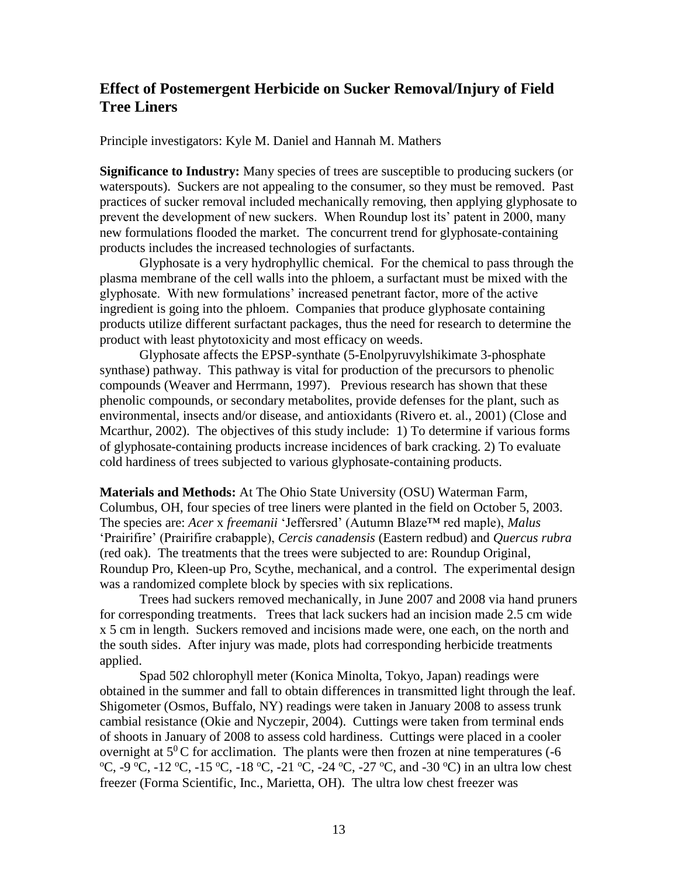## **Effect of Postemergent Herbicide on Sucker Removal/Injury of Field Tree Liners**

Principle investigators: Kyle M. Daniel and Hannah M. Mathers

**Significance to Industry:** Many species of trees are susceptible to producing suckers (or waterspouts). Suckers are not appealing to the consumer, so they must be removed. Past practices of sucker removal included mechanically removing, then applying glyphosate to prevent the development of new suckers. When Roundup lost its' patent in 2000, many new formulations flooded the market. The concurrent trend for glyphosate-containing products includes the increased technologies of surfactants.

Glyphosate is a very hydrophyllic chemical. For the chemical to pass through the plasma membrane of the cell walls into the phloem, a surfactant must be mixed with the glyphosate. With new formulations' increased penetrant factor, more of the active ingredient is going into the phloem. Companies that produce glyphosate containing products utilize different surfactant packages, thus the need for research to determine the product with least phytotoxicity and most efficacy on weeds.

Glyphosate affects the EPSP-synthate (5-Enolpyruvylshikimate 3-phosphate synthase) pathway. This pathway is vital for production of the precursors to phenolic compounds (Weaver and Herrmann, 1997). Previous research has shown that these phenolic compounds, or secondary metabolites, provide defenses for the plant, such as environmental, insects and/or disease, and antioxidants (Rivero et. al., 2001) (Close and Mcarthur, 2002). The objectives of this study include: 1) To determine if various forms of glyphosate-containing products increase incidences of bark cracking. 2) To evaluate cold hardiness of trees subjected to various glyphosate-containing products.

**Materials and Methods:** At The Ohio State University (OSU) Waterman Farm, Columbus, OH, four species of tree liners were planted in the field on October 5, 2003. The species are: *Acer* x *freemanii* 'Jeffersred' (Autumn Blaze™ red maple), *Malus*  'Prairifire' (Prairifire crabapple), *Cercis canadensis* (Eastern redbud) and *Quercus rubra*  (red oak). The treatments that the trees were subjected to are: Roundup Original, Roundup Pro, Kleen-up Pro, Scythe, mechanical, and a control. The experimental design was a randomized complete block by species with six replications.

Trees had suckers removed mechanically, in June 2007 and 2008 via hand pruners for corresponding treatments. Trees that lack suckers had an incision made 2.5 cm wide x 5 cm in length. Suckers removed and incisions made were, one each, on the north and the south sides. After injury was made, plots had corresponding herbicide treatments applied.

Spad 502 chlorophyll meter (Konica Minolta, Tokyo, Japan) readings were obtained in the summer and fall to obtain differences in transmitted light through the leaf. Shigometer (Osmos, Buffalo, NY) readings were taken in January 2008 to assess trunk cambial resistance (Okie and Nyczepir, 2004). Cuttings were taken from terminal ends of shoots in January of 2008 to assess cold hardiness. Cuttings were placed in a cooler overnight at  $5^{0}$ C for acclimation. The plants were then frozen at nine temperatures (-6)  $^{\circ}C$ , -9  $^{\circ}C$ , -12  $^{\circ}C$ , -15  $^{\circ}C$ , -18  $^{\circ}C$ , -21  $^{\circ}C$ , -24  $^{\circ}C$ , -27  $^{\circ}C$ , and -30  $^{\circ}C$ ) in an ultra low chest freezer (Forma Scientific, Inc., Marietta, OH). The ultra low chest freezer was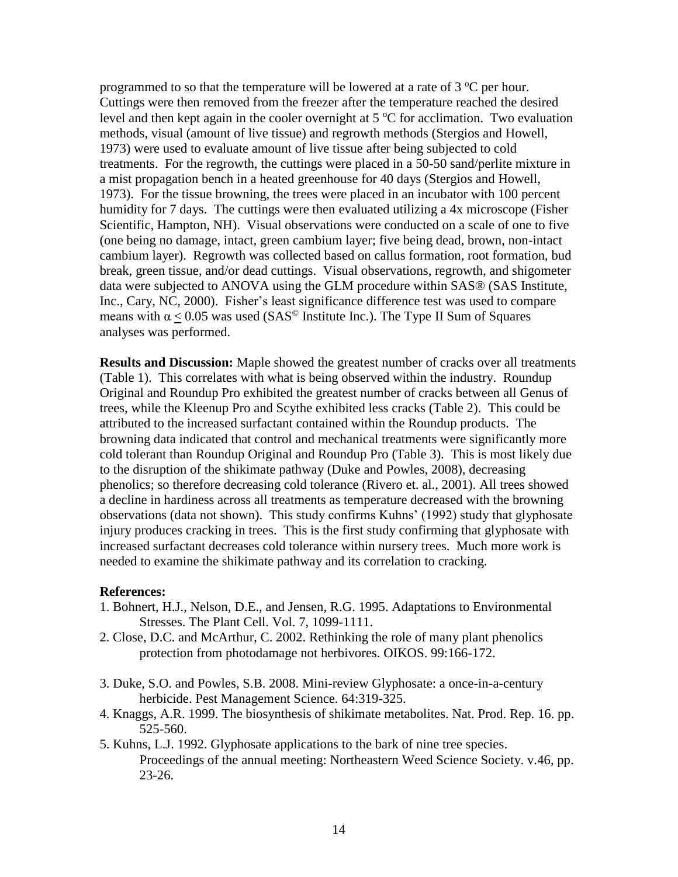programmed to so that the temperature will be lowered at a rate of  $3^{\circ}$ C per hour. Cuttings were then removed from the freezer after the temperature reached the desired level and then kept again in the cooler overnight at  $5^{\circ}$ C for acclimation. Two evaluation methods, visual (amount of live tissue) and regrowth methods (Stergios and Howell, 1973) were used to evaluate amount of live tissue after being subjected to cold treatments. For the regrowth, the cuttings were placed in a 50-50 sand/perlite mixture in a mist propagation bench in a heated greenhouse for 40 days (Stergios and Howell, 1973). For the tissue browning, the trees were placed in an incubator with 100 percent humidity for 7 days. The cuttings were then evaluated utilizing a 4x microscope (Fisher Scientific, Hampton, NH). Visual observations were conducted on a scale of one to five (one being no damage, intact, green cambium layer; five being dead, brown, non-intact cambium layer). Regrowth was collected based on callus formation, root formation, bud break, green tissue, and/or dead cuttings. Visual observations, regrowth, and shigometer data were subjected to ANOVA using the GLM procedure within SAS® (SAS Institute, Inc., Cary, NC, 2000). Fisher's least significance difference test was used to compare means with  $\alpha$  < 0.05 was used (SAS<sup>©</sup> Institute Inc.). The Type II Sum of Squares analyses was performed.

**Results and Discussion:** Maple showed the greatest number of cracks over all treatments (Table 1). This correlates with what is being observed within the industry. Roundup Original and Roundup Pro exhibited the greatest number of cracks between all Genus of trees, while the Kleenup Pro and Scythe exhibited less cracks (Table 2). This could be attributed to the increased surfactant contained within the Roundup products. The browning data indicated that control and mechanical treatments were significantly more cold tolerant than Roundup Original and Roundup Pro (Table 3). This is most likely due to the disruption of the shikimate pathway (Duke and Powles, 2008), decreasing phenolics; so therefore decreasing cold tolerance (Rivero et. al., 2001). All trees showed a decline in hardiness across all treatments as temperature decreased with the browning observations (data not shown). This study confirms Kuhns' (1992) study that glyphosate injury produces cracking in trees. This is the first study confirming that glyphosate with increased surfactant decreases cold tolerance within nursery trees. Much more work is needed to examine the shikimate pathway and its correlation to cracking.

## **References:**

- 1. Bohnert, H.J., Nelson, D.E., and Jensen, R.G. 1995. Adaptations to Environmental Stresses. The Plant Cell. Vol. 7, 1099-1111.
- 2. Close, D.C. and McArthur, C. 2002. Rethinking the role of many plant phenolics protection from photodamage not herbivores. OIKOS. 99:166-172.
- 3. Duke, S.O. and Powles, S.B. 2008. Mini-review Glyphosate: a once-in-a-century herbicide. Pest Management Science. 64:319-325.
- 4. Knaggs, A.R. 1999. The biosynthesis of shikimate metabolites. Nat. Prod. Rep. 16. pp. 525-560.
- 5. Kuhns, L.J. 1992. Glyphosate applications to the bark of nine tree species. Proceedings of the annual meeting: Northeastern Weed Science Society. v.46, pp. 23-26.